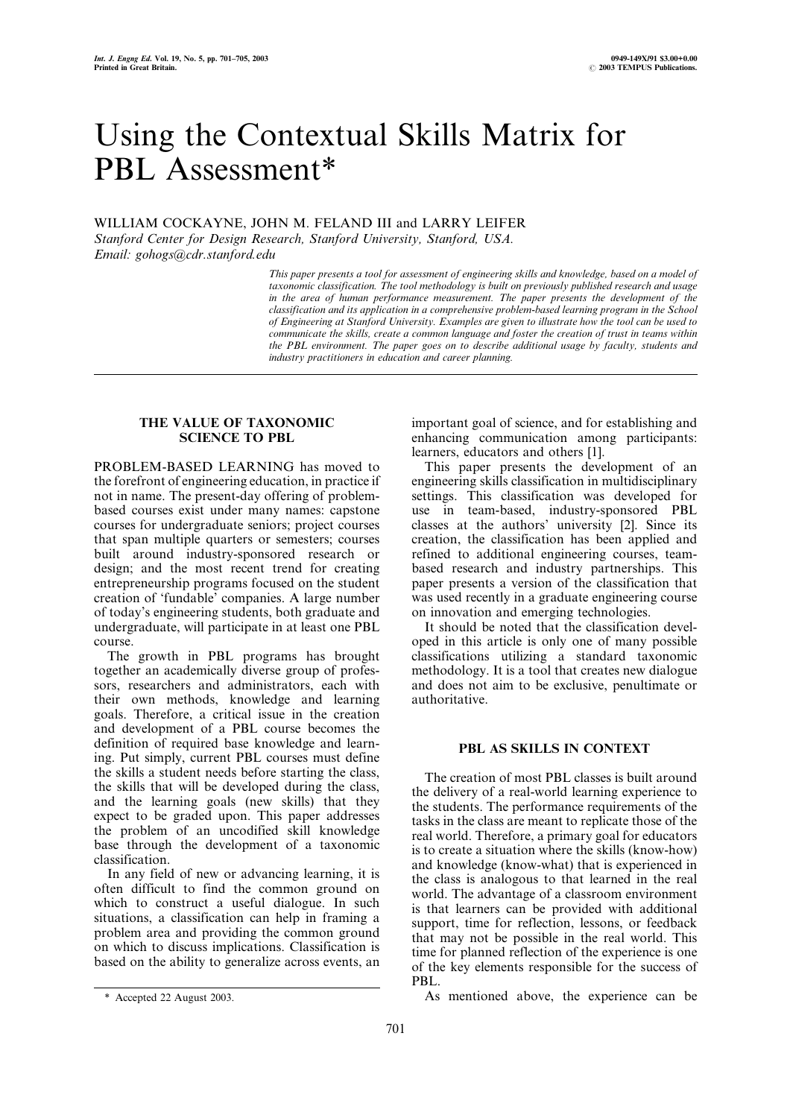# Using the Contextual Skills Matrix for PBL Assessment\*

WILLIAM COCKAYNE, JOHN M. FELAND III and LARRY LEIFER

Stanford Center for Design Research, Stanford University, Stanford, USA. Email: gohogs@cdr.stanford.edu

> This paper presents a tool for assessment of engineering skills and knowledge, based on a model of taxonomic classification. The tool methodology is built on previously published research and usage in the area of human performance measurement. The paper presents the development of the classification and its application in a comprehensive problem-based learning program in the School of Engineering at Stanford University. Examples are given to illustrate how the tool can be used to communicate the skills, create a common language and foster the creation of trust in teams within the PBL environment. The paper goes on to describe additional usage by faculty, students and industry practitioners in education and career planning.

### THE VALUE OF TAXONOMIC SCIENCE TO PBL

PROBLEM-BASED LEARNING has moved to the forefront of engineering education, in practice if not in name. The present-day offering of problembased courses exist under many names: capstone courses for undergraduate seniors; project courses that span multiple quarters or semesters; courses built around industry-sponsored research or design; and the most recent trend for creating entrepreneurship programs focused on the student creation of `fundable' companies. A large number of today's engineering students, both graduate and undergraduate, will participate in at least one PBL course.

The growth in PBL programs has brought together an academically diverse group of professors, researchers and administrators, each with their own methods, knowledge and learning goals. Therefore, a critical issue in the creation and development of a PBL course becomes the definition of required base knowledge and learning. Put simply, current PBL courses must define the skills a student needs before starting the class, the skills that will be developed during the class, and the learning goals (new skills) that they expect to be graded upon. This paper addresses the problem of an uncodified skill knowledge base through the development of a taxonomic classification.

In any field of new or advancing learning, it is often difficult to find the common ground on which to construct a useful dialogue. In such situations, a classification can help in framing a problem area and providing the common ground on which to discuss implications. Classification is based on the ability to generalize across events, an important goal of science, and for establishing and enhancing communication among participants: learners, educators and others [1].

This paper presents the development of an engineering skills classification in multidisciplinary settings. This classification was developed for use in team-based, industry-sponsored PBL classes at the authors' university [2]. Since its creation, the classification has been applied and refined to additional engineering courses, teambased research and industry partnerships. This paper presents a version of the classification that was used recently in a graduate engineering course on innovation and emerging technologies.

It should be noted that the classification developed in this article is only one of many possible classifications utilizing a standard taxonomic methodology. It is a tool that creates new dialogue and does not aim to be exclusive, penultimate or authoritative.

## PBL AS SKILLS IN CONTEXT

The creation of most PBL classes is built around the delivery of a real-world learning experience to the students. The performance requirements of the tasks in the class are meant to replicate those of the real world. Therefore, a primary goal for educators is to create a situation where the skills (know-how) and knowledge (know-what) that is experienced in the class is analogous to that learned in the real world. The advantage of a classroom environment is that learners can be provided with additional support, time for reflection, lessons, or feedback that may not be possible in the real world. This time for planned reflection of the experience is one of the key elements responsible for the success of PBL.

\* Accepted 22 August 2003. As mentioned above, the experience can be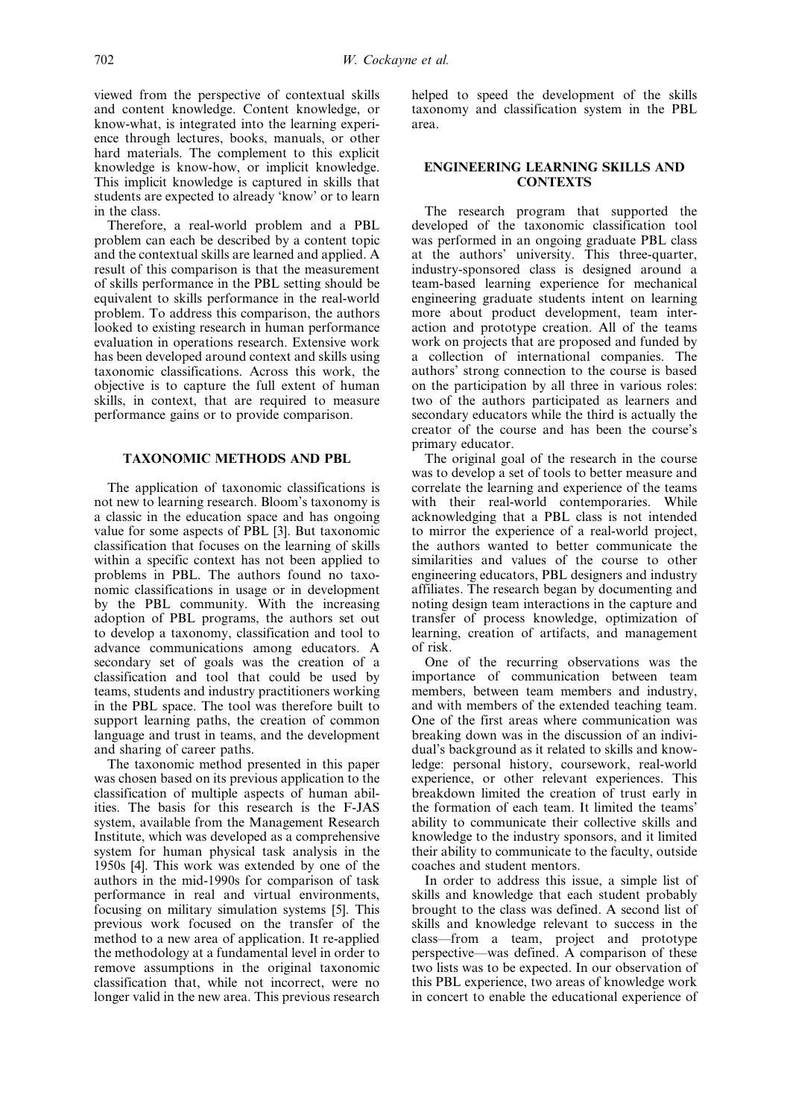viewed from the perspective of contextual skills and content knowledge. Content knowledge, or know-what, is integrated into the learning experience through lectures, books, manuals, or other hard materials. The complement to this explicit knowledge is know-how, or implicit knowledge. This implicit knowledge is captured in skills that students are expected to already 'know' or to learn in the class.

Therefore, a real-world problem and a PBL problem can each be described by a content topic and the contextual skills are learned and applied. A result of this comparison is that the measurement of skills performance in the PBL setting should be equivalent to skills performance in the real-world problem. To address this comparison, the authors looked to existing research in human performance evaluation in operations research. Extensive work has been developed around context and skills using taxonomic classifications. Across this work, the objective is to capture the full extent of human skills, in context, that are required to measure performance gains or to provide comparison.

#### TAXONOMIC METHODS AND PBL

The application of taxonomic classifications is not new to learning research. Bloom's taxonomy is a classic in the education space and has ongoing value for some aspects of PBL [3]. But taxonomic classification that focuses on the learning of skills within a specific context has not been applied to problems in PBL. The authors found no taxonomic classifications in usage or in development by the PBL community. With the increasing adoption of PBL programs, the authors set out to develop a taxonomy, classification and tool to advance communications among educators. A secondary set of goals was the creation of a classification and tool that could be used by teams, students and industry practitioners working in the PBL space. The tool was therefore built to support learning paths, the creation of common language and trust in teams, and the development and sharing of career paths.

The taxonomic method presented in this paper was chosen based on its previous application to the classification of multiple aspects of human abilities. The basis for this research is the F-JAS system, available from the Management Research Institute, which was developed as a comprehensive system for human physical task analysis in the 1950s [4]. This work was extended by one of the authors in the mid-1990s for comparison of task performance in real and virtual environments, focusing on military simulation systems [5]. This previous work focused on the transfer of the method to a new area of application. It re-applied the methodology at a fundamental level in order to remove assumptions in the original taxonomic classification that, while not incorrect, were no longer valid in the new area. This previous research helped to speed the development of the skills taxonomy and classification system in the PBL area.

#### ENGINEERING LEARNING SKILLS AND **CONTEXTS**

The research program that supported the developed of the taxonomic classification tool was performed in an ongoing graduate PBL class at the authors' university. This three-quarter, industry-sponsored class is designed around a team-based learning experience for mechanical engineering graduate students intent on learning more about product development, team interaction and prototype creation. All of the teams work on projects that are proposed and funded by a collection of international companies. The authors' strong connection to the course is based on the participation by all three in various roles: two of the authors participated as learners and secondary educators while the third is actually the creator of the course and has been the course's primary educator.

The original goal of the research in the course was to develop a set of tools to better measure and correlate the learning and experience of the teams with their real-world contemporaries. While acknowledging that a PBL class is not intended to mirror the experience of a real-world project, the authors wanted to better communicate the similarities and values of the course to other engineering educators, PBL designers and industry affiliates. The research began by documenting and noting design team interactions in the capture and transfer of process knowledge, optimization of learning, creation of artifacts, and management of risk.

One of the recurring observations was the importance of communication between team members, between team members and industry, and with members of the extended teaching team. One of the first areas where communication was breaking down was in the discussion of an individual's background as it related to skills and knowledge: personal history, coursework, real-world experience, or other relevant experiences. This breakdown limited the creation of trust early in the formation of each team. It limited the teams' ability to communicate their collective skills and knowledge to the industry sponsors, and it limited their ability to communicate to the faculty, outside coaches and student mentors.

In order to address this issue, a simple list of skills and knowledge that each student probably brought to the class was defined. A second list of skills and knowledge relevant to success in the class—from a team, project and prototype perspective—was defined. A comparison of these two lists was to be expected. In our observation of this PBL experience, two areas of knowledge work in concert to enable the educational experience of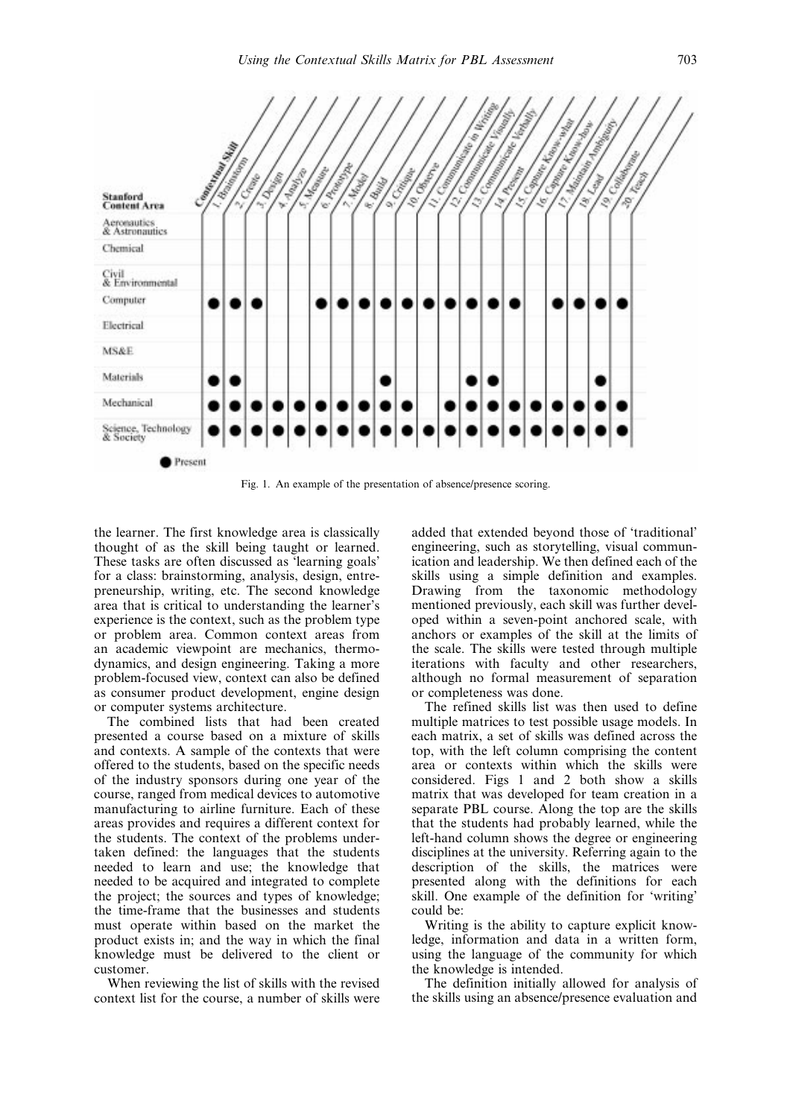

Fig. 1. An example of the presentation of absence/presence scoring.

the learner. The first knowledge area is classically thought of as the skill being taught or learned. These tasks are often discussed as 'learning goals' for a class: brainstorming, analysis, design, entrepreneurship, writing, etc. The second knowledge area that is critical to understanding the learner's experience is the context, such as the problem type or problem area. Common context areas from an academic viewpoint are mechanics, thermodynamics, and design engineering. Taking a more problem-focused view, context can also be defined as consumer product development, engine design or computer systems architecture.

The combined lists that had been created presented a course based on a mixture of skills and contexts. A sample of the contexts that were offered to the students, based on the specific needs of the industry sponsors during one year of the course, ranged from medical devices to automotive manufacturing to airline furniture. Each of these areas provides and requires a different context for the students. The context of the problems undertaken defined: the languages that the students needed to learn and use; the knowledge that needed to be acquired and integrated to complete the project; the sources and types of knowledge; the time-frame that the businesses and students must operate within based on the market the product exists in; and the way in which the final knowledge must be delivered to the client or customer.

When reviewing the list of skills with the revised context list for the course, a number of skills were added that extended beyond those of 'traditional' engineering, such as storytelling, visual communication and leadership. We then defined each of the skills using a simple definition and examples. Drawing from the taxonomic methodology mentioned previously, each skill was further developed within a seven-point anchored scale, with anchors or examples of the skill at the limits of the scale. The skills were tested through multiple iterations with faculty and other researchers, although no formal measurement of separation or completeness was done.

The refined skills list was then used to define multiple matrices to test possible usage models. In each matrix, a set of skills was defined across the top, with the left column comprising the content area or contexts within which the skills were considered. Figs 1 and 2 both show a skills matrix that was developed for team creation in a separate PBL course. Along the top are the skills that the students had probably learned, while the left-hand column shows the degree or engineering disciplines at the university. Referring again to the description of the skills, the matrices were presented along with the definitions for each skill. One example of the definition for `writing' could be:

Writing is the ability to capture explicit knowledge, information and data in a written form, using the language of the community for which the knowledge is intended.

The definition initially allowed for analysis of the skills using an absence/presence evaluation and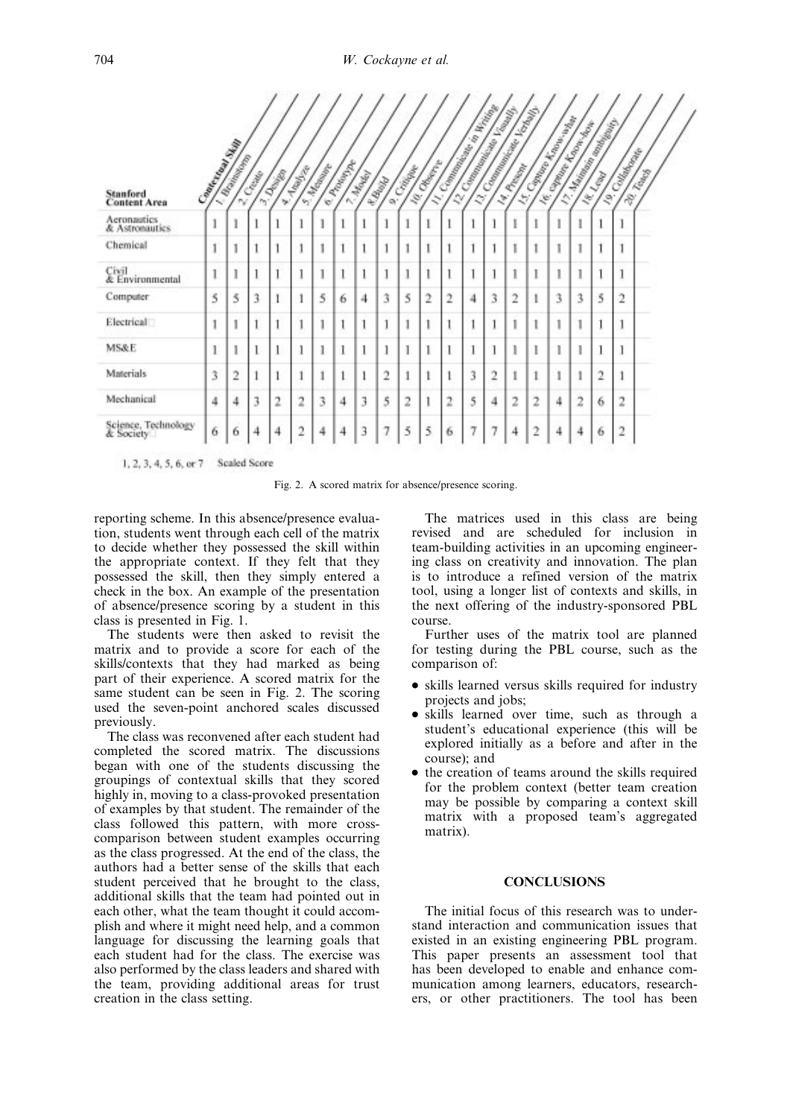| Stanford<br><b>Content Area</b>  | Company of Manufacture | <b>L. Adolfords</b> | <b>COMB</b><br>m. | Davison<br>W.  | <b>Taguay</b>  | <b>S. Marian</b> | E Adolphy | 7. Maple | 4. Bullet      | 9 Critical | 10 General  |                | <b>LY Communication Communication</b><br>22 Company and the Company of |                | <b>C.T. Company of Britain Company of Britain</b> | <b>ST Company Report Follows</b> | IF SHARING ASSESSMENT |                | <b>S. Marian Romandor Romando</b> | <b>19 County River</b><br>20 Towns |  |
|----------------------------------|------------------------|---------------------|-------------------|----------------|----------------|------------------|-----------|----------|----------------|------------|-------------|----------------|------------------------------------------------------------------------|----------------|---------------------------------------------------|----------------------------------|-----------------------|----------------|-----------------------------------|------------------------------------|--|
| Aeronautics<br>& Astronautics    | I                      | Ĭ                   |                   |                |                |                  |           |          | 1              |            |             |                |                                                                        |                |                                                   |                                  |                       |                |                                   |                                    |  |
| Chemical                         | Í                      | ī                   |                   |                |                |                  |           | 1        | 1              |            |             |                |                                                                        |                |                                                   |                                  |                       | Ī              |                                   |                                    |  |
| Civil<br>& Environmental         | 1                      | 1                   |                   |                |                |                  |           | 1        | 1              |            |             |                |                                                                        |                |                                                   |                                  |                       | 1              |                                   |                                    |  |
| Computer                         | 5                      | 5                   | 3                 |                |                | 5                | 6         | 4        | 3              | 5          | $\tilde{c}$ | $\overline{2}$ | 4                                                                      | 3              | 2                                                 |                                  | 3                     | 3              | 5                                 | $\overline{2}$                     |  |
| Electrical                       |                        | 1                   |                   |                |                |                  |           | 1        | 1              |            |             |                |                                                                        |                |                                                   |                                  |                       | 1              |                                   |                                    |  |
| <b>MS&amp;E</b>                  | 1                      | I                   | 1                 |                | 1              |                  | 1         | 1        | 1              |            |             |                |                                                                        |                | 1                                                 |                                  | 1                     | 1              |                                   |                                    |  |
| <b>Materials</b>                 | 3                      | $\overline{2}$      |                   |                |                |                  |           | 1        | $\overline{2}$ |            |             |                | ٦                                                                      | $\overline{2}$ | İ                                                 |                                  | 1                     | 1              | $\overline{2}$                    |                                    |  |
| Mechanical                       | 4                      | 4                   | 3                 | $\overline{z}$ | $\overline{2}$ | 3                | 4         | 3        | 5              | 2          | 1           | 2              | 5                                                                      | 4              | $\overline{2}$                                    | 2                                | 4                     | $\overline{2}$ | 6                                 | $\overline{2}$                     |  |
| Science, Technology<br>& Society | 6                      | 6                   |                   | 4              | $\overline{c}$ | 4                | 4         | 3        | 7              | 5          | 5           | 6              |                                                                        |                | 4                                                 | 2                                | 4                     | 4              | 6                                 | $\overline{2}$                     |  |

1, 2, 3, 4, 5, 6, or 7 Scaled Score

Fig. 2. A scored matrix for absence/presence scoring.

reporting scheme. In this absence/presence evaluation, students went through each cell of the matrix to decide whether they possessed the skill within the appropriate context. If they felt that they possessed the skill, then they simply entered a check in the box. An example of the presentation of absence/presence scoring by a student in this class is presented in Fig. 1.

The students were then asked to revisit the matrix and to provide a score for each of the skills/contexts that they had marked as being part of their experience. A scored matrix for the same student can be seen in Fig. 2. The scoring used the seven-point anchored scales discussed previously.

The class was reconvened after each student had completed the scored matrix. The discussions began with one of the students discussing the groupings of contextual skills that they scored highly in, moving to a class-provoked presentation of examples by that student. The remainder of the class followed this pattern, with more crosscomparison between student examples occurring as the class progressed. At the end of the class, the authors had a better sense of the skills that each student perceived that he brought to the class, additional skills that the team had pointed out in each other, what the team thought it could accomplish and where it might need help, and a common language for discussing the learning goals that each student had for the class. The exercise was also performed by the class leaders and shared with the team, providing additional areas for trust creation in the class setting.

The matrices used in this class are being revised and are scheduled for inclusion in team-building activities in an upcoming engineering class on creativity and innovation. The plan is to introduce a refined version of the matrix tool, using a longer list of contexts and skills, in the next offering of the industry-sponsored PBL course.

Further uses of the matrix tool are planned for testing during the PBL course, such as the comparison of:

- skills learned versus skills required for industry projects and jobs;
- . skills learned over time, such as through a student's educational experience (this will be explored initially as a before and after in the course); and
- the creation of teams around the skills required for the problem context (better team creation may be possible by comparing a context skill matrix with a proposed team's aggregated matrix).

# **CONCLUSIONS**

The initial focus of this research was to understand interaction and communication issues that existed in an existing engineering PBL program. This paper presents an assessment tool that has been developed to enable and enhance communication among learners, educators, researchers, or other practitioners. The tool has been